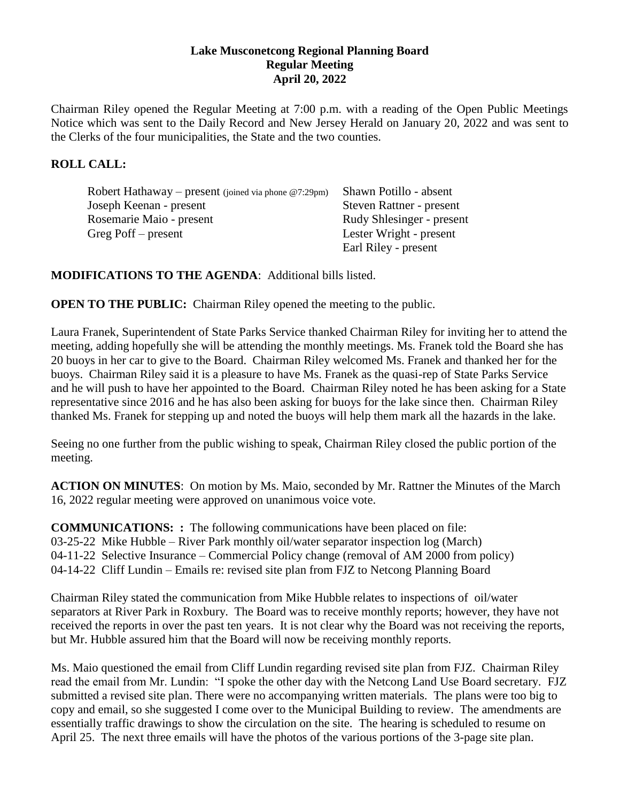#### **Lake Musconetcong Regional Planning Board Regular Meeting April 20, 2022**

Chairman Riley opened the Regular Meeting at 7:00 p.m. with a reading of the Open Public Meetings Notice which was sent to the Daily Record and New Jersey Herald on January 20, 2022 and was sent to the Clerks of the four municipalities, the State and the two counties.

### **ROLL CALL:**

| Robert Hathaway – present (joined via phone $@7:29$ pm) | Shawn Potillo - absent    |
|---------------------------------------------------------|---------------------------|
| Joseph Keenan - present                                 | Steven Rattner - present  |
| Rosemarie Maio - present                                | Rudy Shlesinger - present |
| Greg Poff – present                                     | Lester Wright - present   |
|                                                         | Earl Riley - present      |

### **MODIFICATIONS TO THE AGENDA**: Additional bills listed.

**OPEN TO THE PUBLIC:** Chairman Riley opened the meeting to the public.

Laura Franek, Superintendent of State Parks Service thanked Chairman Riley for inviting her to attend the meeting, adding hopefully she will be attending the monthly meetings. Ms. Franek told the Board she has 20 buoys in her car to give to the Board. Chairman Riley welcomed Ms. Franek and thanked her for the buoys. Chairman Riley said it is a pleasure to have Ms. Franek as the quasi-rep of State Parks Service and he will push to have her appointed to the Board. Chairman Riley noted he has been asking for a State representative since 2016 and he has also been asking for buoys for the lake since then. Chairman Riley thanked Ms. Franek for stepping up and noted the buoys will help them mark all the hazards in the lake.

Seeing no one further from the public wishing to speak, Chairman Riley closed the public portion of the meeting.

**ACTION ON MINUTES**: On motion by Ms. Maio, seconded by Mr. Rattner the Minutes of the March 16, 2022 regular meeting were approved on unanimous voice vote.

**COMMUNICATIONS: :** The following communications have been placed on file: 03-25-22 Mike Hubble – River Park monthly oil/water separator inspection log (March) 04-11-22 Selective Insurance – Commercial Policy change (removal of AM 2000 from policy) 04-14-22 Cliff Lundin – Emails re: revised site plan from FJZ to Netcong Planning Board

Chairman Riley stated the communication from Mike Hubble relates to inspections of oil/water separators at River Park in Roxbury. The Board was to receive monthly reports; however, they have not received the reports in over the past ten years. It is not clear why the Board was not receiving the reports, but Mr. Hubble assured him that the Board will now be receiving monthly reports.

Ms. Maio questioned the email from Cliff Lundin regarding revised site plan from FJZ. Chairman Riley read the email from Mr. Lundin: "I spoke the other day with the Netcong Land Use Board secretary. FJZ submitted a revised site plan. There were no accompanying written materials. The plans were too big to copy and email, so she suggested I come over to the Municipal Building to review. The amendments are essentially traffic drawings to show the circulation on the site. The hearing is scheduled to resume on April 25. The next three emails will have the photos of the various portions of the 3-page site plan.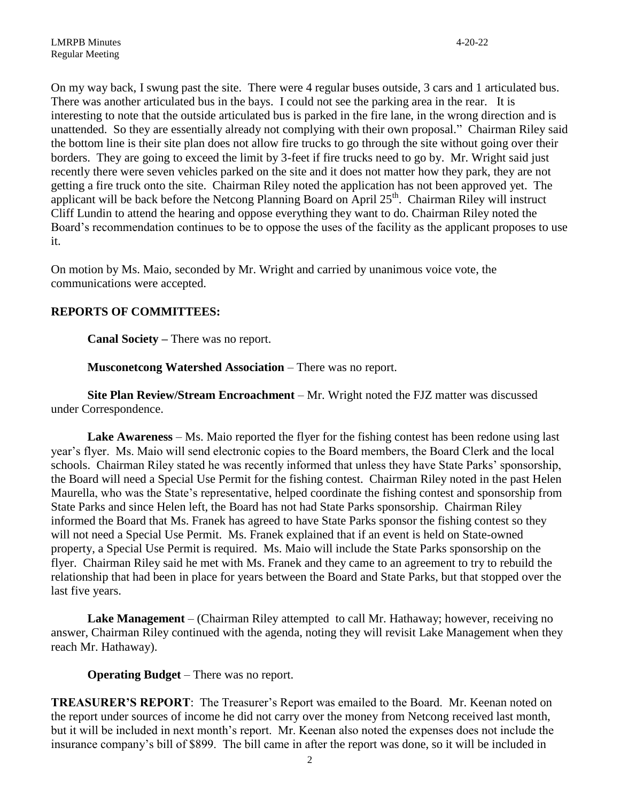On my way back, I swung past the site. There were 4 regular buses outside, 3 cars and 1 articulated bus. There was another articulated bus in the bays. I could not see the parking area in the rear. It is interesting to note that the outside articulated bus is parked in the fire lane, in the wrong direction and is unattended. So they are essentially already not complying with their own proposal." Chairman Riley said the bottom line is their site plan does not allow fire trucks to go through the site without going over their borders. They are going to exceed the limit by 3-feet if fire trucks need to go by. Mr. Wright said just recently there were seven vehicles parked on the site and it does not matter how they park, they are not getting a fire truck onto the site. Chairman Riley noted the application has not been approved yet. The applicant will be back before the Netcong Planning Board on April  $25<sup>th</sup>$ . Chairman Riley will instruct Cliff Lundin to attend the hearing and oppose everything they want to do. Chairman Riley noted the Board's recommendation continues to be to oppose the uses of the facility as the applicant proposes to use it.

On motion by Ms. Maio, seconded by Mr. Wright and carried by unanimous voice vote, the communications were accepted.

## **REPORTS OF COMMITTEES:**

**Canal Society –** There was no report.

**Musconetcong Watershed Association** – There was no report.

**Site Plan Review/Stream Encroachment** – Mr. Wright noted the FJZ matter was discussed under Correspondence.

**Lake Awareness** – Ms. Maio reported the flyer for the fishing contest has been redone using last year's flyer. Ms. Maio will send electronic copies to the Board members, the Board Clerk and the local schools. Chairman Riley stated he was recently informed that unless they have State Parks' sponsorship, the Board will need a Special Use Permit for the fishing contest. Chairman Riley noted in the past Helen Maurella, who was the State's representative, helped coordinate the fishing contest and sponsorship from State Parks and since Helen left, the Board has not had State Parks sponsorship. Chairman Riley informed the Board that Ms. Franek has agreed to have State Parks sponsor the fishing contest so they will not need a Special Use Permit. Ms. Franek explained that if an event is held on State-owned property, a Special Use Permit is required. Ms. Maio will include the State Parks sponsorship on the flyer. Chairman Riley said he met with Ms. Franek and they came to an agreement to try to rebuild the relationship that had been in place for years between the Board and State Parks, but that stopped over the last five years.

**Lake Management** – (Chairman Riley attempted to call Mr. Hathaway; however, receiving no answer, Chairman Riley continued with the agenda, noting they will revisit Lake Management when they reach Mr. Hathaway).

#### **Operating Budget** – There was no report.

**TREASURER'S REPORT**: The Treasurer's Report was emailed to the Board. Mr. Keenan noted on the report under sources of income he did not carry over the money from Netcong received last month, but it will be included in next month's report. Mr. Keenan also noted the expenses does not include the insurance company's bill of \$899. The bill came in after the report was done, so it will be included in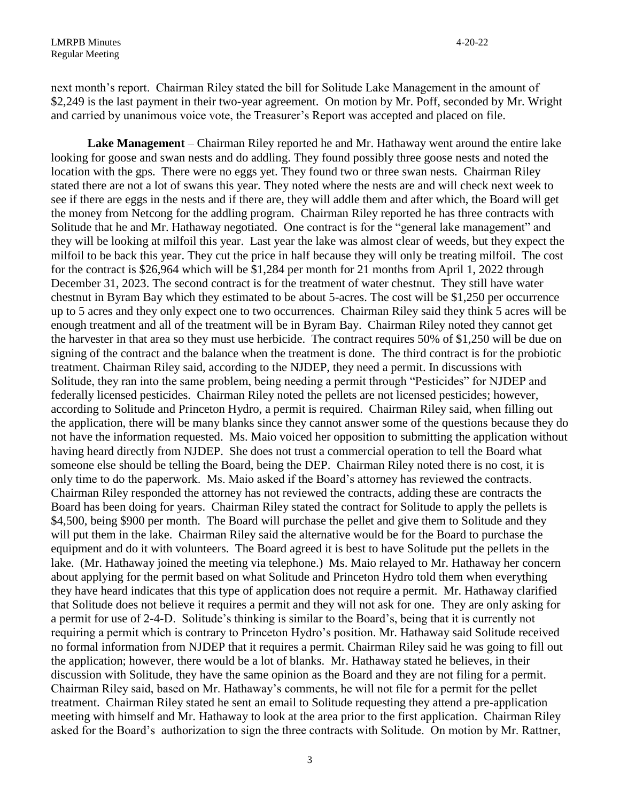next month's report. Chairman Riley stated the bill for Solitude Lake Management in the amount of \$2,249 is the last payment in their two-year agreement. On motion by Mr. Poff, seconded by Mr. Wright and carried by unanimous voice vote, the Treasurer's Report was accepted and placed on file.

**Lake Management** – Chairman Riley reported he and Mr. Hathaway went around the entire lake looking for goose and swan nests and do addling. They found possibly three goose nests and noted the location with the gps. There were no eggs yet. They found two or three swan nests. Chairman Riley stated there are not a lot of swans this year. They noted where the nests are and will check next week to see if there are eggs in the nests and if there are, they will addle them and after which, the Board will get the money from Netcong for the addling program. Chairman Riley reported he has three contracts with Solitude that he and Mr. Hathaway negotiated. One contract is for the "general lake management" and they will be looking at milfoil this year. Last year the lake was almost clear of weeds, but they expect the milfoil to be back this year. They cut the price in half because they will only be treating milfoil. The cost for the contract is \$26,964 which will be \$1,284 per month for 21 months from April 1, 2022 through December 31, 2023. The second contract is for the treatment of water chestnut. They still have water chestnut in Byram Bay which they estimated to be about 5-acres. The cost will be \$1,250 per occurrence up to 5 acres and they only expect one to two occurrences. Chairman Riley said they think 5 acres will be enough treatment and all of the treatment will be in Byram Bay. Chairman Riley noted they cannot get the harvester in that area so they must use herbicide. The contract requires 50% of \$1,250 will be due on signing of the contract and the balance when the treatment is done. The third contract is for the probiotic treatment. Chairman Riley said, according to the NJDEP, they need a permit. In discussions with Solitude, they ran into the same problem, being needing a permit through "Pesticides" for NJDEP and federally licensed pesticides. Chairman Riley noted the pellets are not licensed pesticides; however, according to Solitude and Princeton Hydro, a permit is required. Chairman Riley said, when filling out the application, there will be many blanks since they cannot answer some of the questions because they do not have the information requested. Ms. Maio voiced her opposition to submitting the application without having heard directly from NJDEP. She does not trust a commercial operation to tell the Board what someone else should be telling the Board, being the DEP. Chairman Riley noted there is no cost, it is only time to do the paperwork. Ms. Maio asked if the Board's attorney has reviewed the contracts. Chairman Riley responded the attorney has not reviewed the contracts, adding these are contracts the Board has been doing for years. Chairman Riley stated the contract for Solitude to apply the pellets is \$4,500, being \$900 per month. The Board will purchase the pellet and give them to Solitude and they will put them in the lake. Chairman Riley said the alternative would be for the Board to purchase the equipment and do it with volunteers. The Board agreed it is best to have Solitude put the pellets in the lake. (Mr. Hathaway joined the meeting via telephone.) Ms. Maio relayed to Mr. Hathaway her concern about applying for the permit based on what Solitude and Princeton Hydro told them when everything they have heard indicates that this type of application does not require a permit. Mr. Hathaway clarified that Solitude does not believe it requires a permit and they will not ask for one. They are only asking for a permit for use of 2-4-D. Solitude's thinking is similar to the Board's, being that it is currently not requiring a permit which is contrary to Princeton Hydro's position. Mr. Hathaway said Solitude received no formal information from NJDEP that it requires a permit. Chairman Riley said he was going to fill out the application; however, there would be a lot of blanks. Mr. Hathaway stated he believes, in their discussion with Solitude, they have the same opinion as the Board and they are not filing for a permit. Chairman Riley said, based on Mr. Hathaway's comments, he will not file for a permit for the pellet treatment. Chairman Riley stated he sent an email to Solitude requesting they attend a pre-application meeting with himself and Mr. Hathaway to look at the area prior to the first application. Chairman Riley asked for the Board's authorization to sign the three contracts with Solitude. On motion by Mr. Rattner,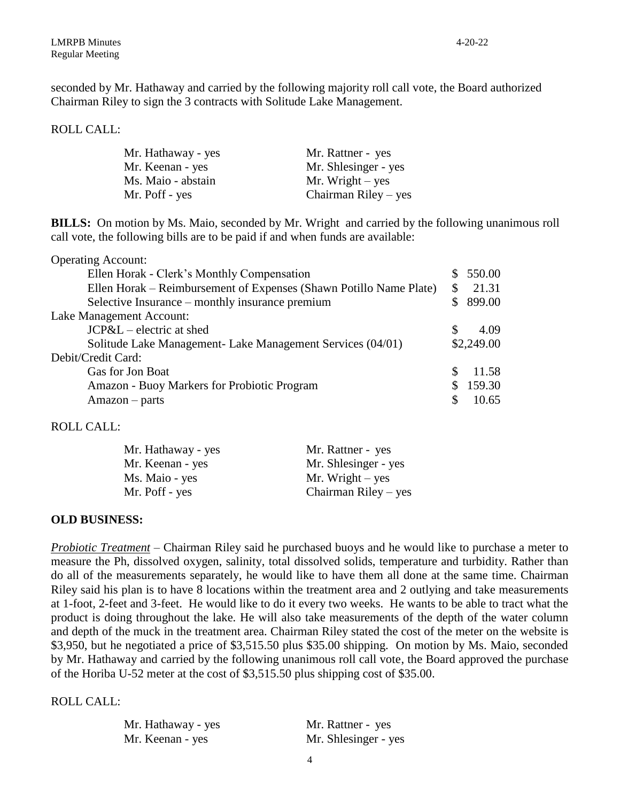ROLL CALL:

| Mr. Hathaway - yes | Mr. Rattner - yes    |
|--------------------|----------------------|
| Mr. Keenan - yes   | Mr. Shlesinger - yes |
| Ms. Maio - abstain | Mr. Wright $-$ yes   |
| Mr. Poff - yes     | Chairman Riley – yes |

**BILLS:** On motion by Ms. Maio, seconded by Mr. Wright and carried by the following unanimous roll call vote, the following bills are to be paid if and when funds are available:

| <b>Operating Account:</b>                                          |          |            |
|--------------------------------------------------------------------|----------|------------|
| Ellen Horak - Clerk's Monthly Compensation                         |          | \$550.00   |
| Ellen Horak – Reimbursement of Expenses (Shawn Potillo Name Plate) |          | 21.31      |
| Selective Insurance – monthly insurance premium                    |          | \$899.00   |
| Lake Management Account:                                           |          |            |
| JCP&L – electric at shed                                           | <b>S</b> | 4.09       |
| Solitude Lake Management- Lake Management Services (04/01)         |          | \$2,249.00 |
| Debit/Credit Card:                                                 |          |            |
| Gas for Jon Boat                                                   |          | 11.58      |
| <b>Amazon - Buoy Markers for Probiotic Program</b>                 |          | 159.30     |
| $A$ mazon – parts                                                  |          | 10.65      |

#### ROLL CALL:

| Mr. Hathaway - yes | Mr. Rattner - yes      |
|--------------------|------------------------|
| Mr. Keenan - yes   | Mr. Shlesinger - yes   |
| Ms. Maio - yes     | Mr. Wright $-$ yes     |
| Mr. Poff - yes     | Chairman Riley $-$ yes |

## **OLD BUSINESS:**

*Probiotic Treatment* – Chairman Riley said he purchased buoys and he would like to purchase a meter to measure the Ph, dissolved oxygen, salinity, total dissolved solids, temperature and turbidity. Rather than do all of the measurements separately, he would like to have them all done at the same time. Chairman Riley said his plan is to have 8 locations within the treatment area and 2 outlying and take measurements at 1-foot, 2-feet and 3-feet. He would like to do it every two weeks. He wants to be able to tract what the product is doing throughout the lake. He will also take measurements of the depth of the water column and depth of the muck in the treatment area. Chairman Riley stated the cost of the meter on the website is \$3,950, but he negotiated a price of \$3,515.50 plus \$35.00 shipping. On motion by Ms. Maio, seconded by Mr. Hathaway and carried by the following unanimous roll call vote, the Board approved the purchase of the Horiba U-52 meter at the cost of \$3,515.50 plus shipping cost of \$35.00.

# ROLL CALL:

| Mr. Hathaway - yes | Mr. Rattner - yes    |
|--------------------|----------------------|
| Mr. Keenan - yes   | Mr. Shlesinger - yes |